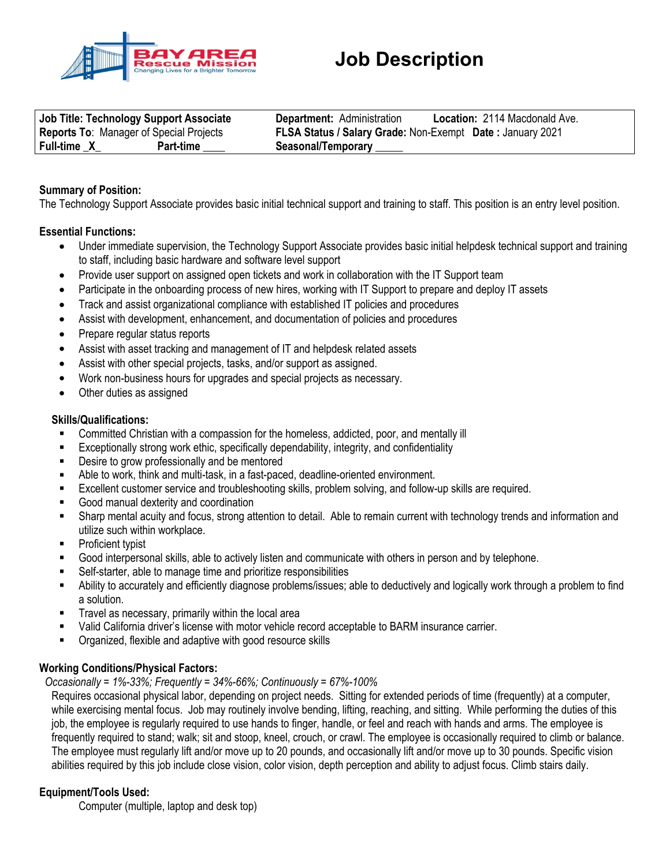

|                                                | Job Title: Technology Support Associate | <b>Location: 2114 Macdonald Ave.</b><br><b>Department: Administration</b> |  |
|------------------------------------------------|-----------------------------------------|---------------------------------------------------------------------------|--|
| <b>Reports To: Manager of Special Projects</b> |                                         | FLSA Status / Salary Grade: Non-Exempt Date: January 2021                 |  |
| <b>Full-time X</b>                             | Part-time                               | Seasonal/Temporary ______                                                 |  |

# **Summary of Position:**

The Technology Support Associate provides basic initial technical support and training to staff. This position is an entry level position.

### **Essential Functions:**

- Under immediate supervision, the Technology Support Associate provides basic initial helpdesk technical support and training to staff, including basic hardware and software level support
- Provide user support on assigned open tickets and work in collaboration with the IT Support team
- Participate in the onboarding process of new hires, working with IT Support to prepare and deploy IT assets
- Track and assist organizational compliance with established IT policies and procedures
- Assist with development, enhancement, and documentation of policies and procedures
- Prepare regular status reports
- Assist with asset tracking and management of IT and helpdesk related assets
- Assist with other special projects, tasks, and/or support as assigned.
- Work non-business hours for upgrades and special projects as necessary.
- Other duties as assigned

#### **Skills/Qualifications:**

- Committed Christian with a compassion for the homeless, addicted, poor, and mentally ill
- Exceptionally strong work ethic, specifically dependability, integrity, and confidentiality
- Desire to grow professionally and be mentored
- Able to work, think and multi-task, in a fast-paced, deadline-oriented environment.
- Excellent customer service and troubleshooting skills, problem solving, and follow-up skills are required.
- Good manual dexterity and coordination
- Sharp mental acuity and focus, strong attention to detail. Able to remain current with technology trends and information and utilize such within workplace.
- Proficient typist
- Good interpersonal skills, able to actively listen and communicate with others in person and by telephone.
- Self-starter, able to manage time and prioritize responsibilities
- Ability to accurately and efficiently diagnose problems/issues; able to deductively and logically work through a problem to find a solution.
- Travel as necessary, primarily within the local area
- Valid California driver's license with motor vehicle record acceptable to BARM insurance carrier.
- Organized, flexible and adaptive with good resource skills

#### **Working Conditions/Physical Factors:**

#### *Occasionally = 1%-33%; Frequently = 34%-66%; Continuously = 67%-100%*

Requires occasional physical labor, depending on project needs. Sitting for extended periods of time (frequently) at a computer, while exercising mental focus. Job may routinely involve bending, lifting, reaching, and sitting. While performing the duties of this job, the employee is regularly required to use hands to finger, handle, or feel and reach with hands and arms. The employee is frequently required to stand; walk; sit and stoop, kneel, crouch, or crawl. The employee is occasionally required to climb or balance. The employee must regularly lift and/or move up to 20 pounds, and occasionally lift and/or move up to 30 pounds. Specific vision abilities required by this job include close vision, color vision, depth perception and ability to adjust focus. Climb stairs daily.

## **Equipment/Tools Used:**

Computer (multiple, laptop and desk top)